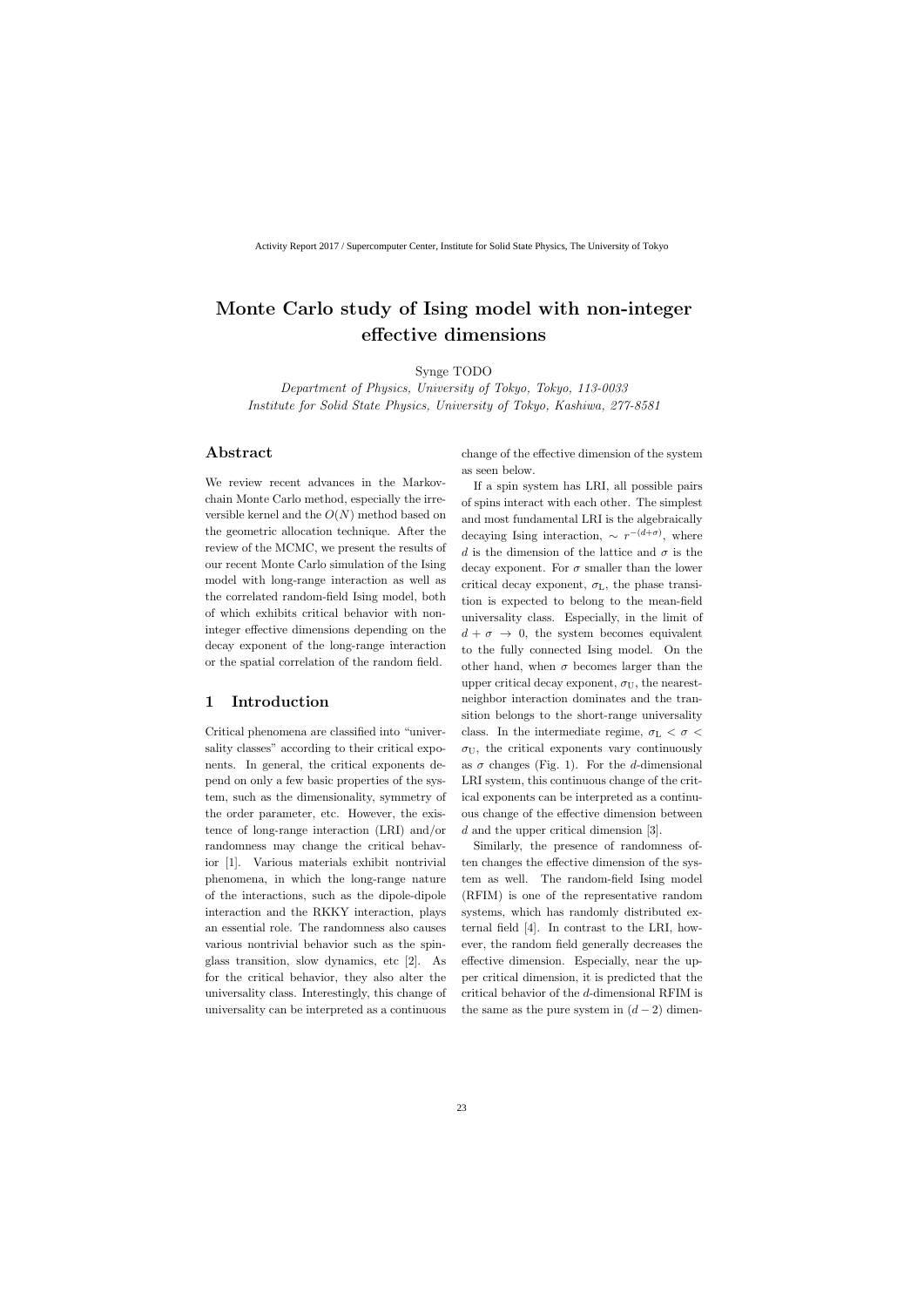# Monte Carlo study of Ising model with non-integer effective dimensions

Synge TODO

Department of Physics, University of Tokyo, Tokyo, 113-0033 Institute for Solid State Physics, University of Tokyo, Kashiwa, 277-8581

## Abstract

We review recent advances in the Markovchain Monte Carlo method, especially the irreversible kernel and the  $O(N)$  method based on the geometric allocation technique. After the review of the MCMC, we present the results of our recent Monte Carlo simulation of the Ising model with long-range interaction as well as the correlated random-field Ising model, both of which exhibits critical behavior with noninteger effective dimensions depending on the decay exponent of the long-range interaction or the spatial correlation of the random field.

## 1 Introduction

Critical phenomena are classified into "universality classes" according to their critical exponents. In general, the critical exponents depend on only a few basic properties of the system, such as the dimensionality, symmetry of the order parameter, etc. However, the existence of long-range interaction (LRI) and/or randomness may change the critical behavior [1]. Various materials exhibit nontrivial phenomena, in which the long-range nature of the interactions, such as the dipole-dipole interaction and the RKKY interaction, plays an essential role. The randomness also causes various nontrivial behavior such as the spinglass transition, slow dynamics, etc [2]. As for the critical behavior, they also alter the universality class. Interestingly, this change of universality can be interpreted as a continuous change of the effective dimension of the system as seen below.

If a spin system has LRI, all possible pairs of spins interact with each other. The simplest and most fundamental LRI is the algebraically decaying Ising interaction,  $\sim r^{-(d+\sigma)}$ , where d is the dimension of the lattice and  $\sigma$  is the decay exponent. For  $\sigma$  smaller than the lower critical decay exponent,  $\sigma_{\rm L}$ , the phase transition is expected to belong to the mean-field universality class. Especially, in the limit of  $d + \sigma \rightarrow 0$ , the system becomes equivalent to the fully connected Ising model. On the other hand, when  $\sigma$  becomes larger than the upper critical decay exponent,  $\sigma_U$ , the nearestneighbor interaction dominates and the transition belongs to the short-range universality class. In the intermediate regime,  $\sigma_{\rm L} < \sigma <$  $\sigma_U$ , the critical exponents vary continuously as  $\sigma$  changes (Fig. 1). For the d-dimensional LRI system, this continuous change of the critical exponents can be interpreted as a continuous change of the effective dimension between d and the upper critical dimension [3].

Similarly, the presence of randomness often changes the effective dimension of the system as well. The random-field Ising model (RFIM) is one of the representative random systems, which has randomly distributed external field [4]. In contrast to the LRI, however, the random field generally decreases the effective dimension. Especially, near the upper critical dimension, it is predicted that the critical behavior of the d-dimensional RFIM is the same as the pure system in  $(d-2)$  dimen-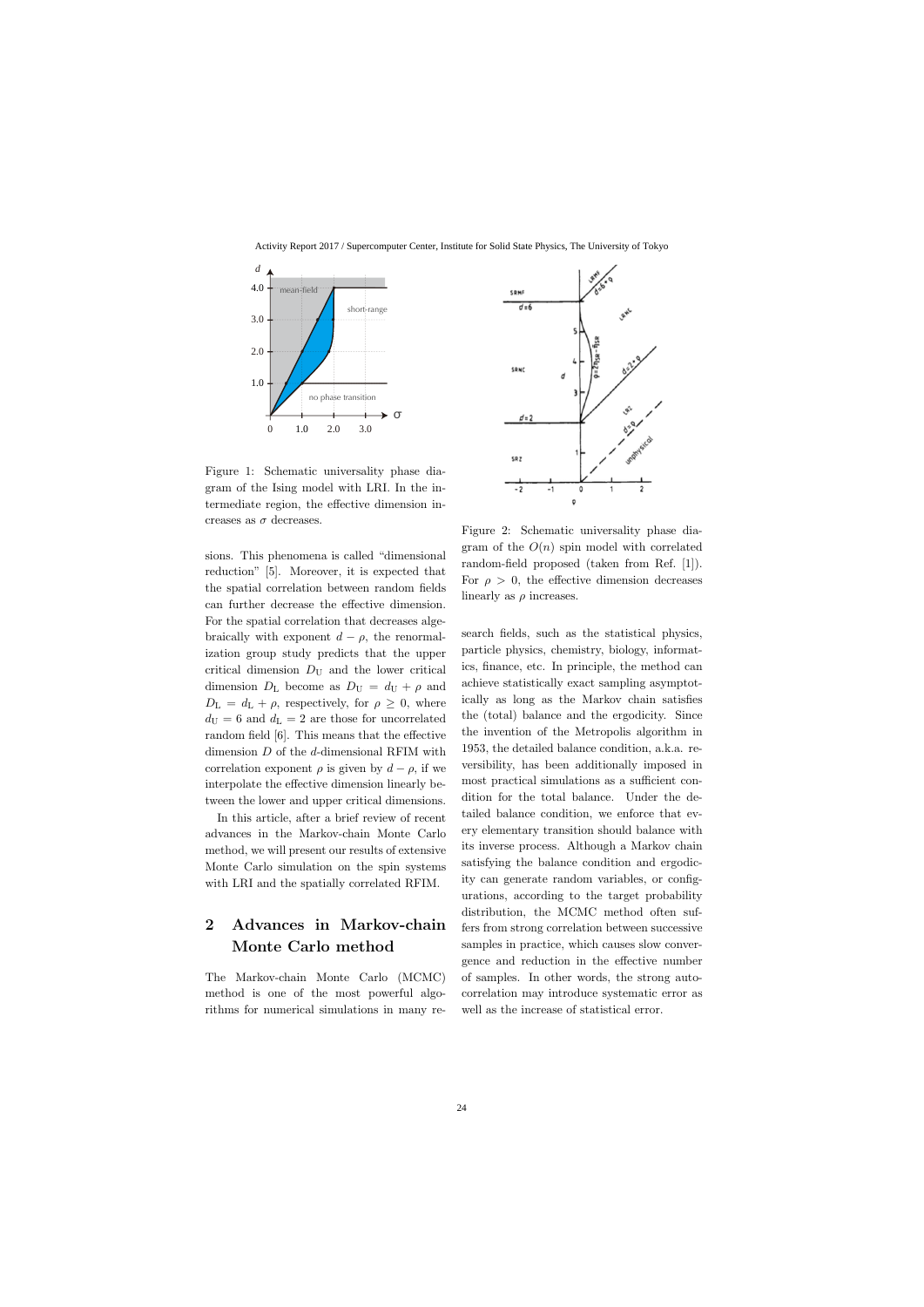Activity Report 2017 / Supercomputer Center, Institute for Solid State Physics, The University of Tokyo



Figure 1: Schematic universality phase diagram of the Ising model with LRI. In the intermediate region, the effective dimension increases as  $\sigma$  decreases.

sions. This phenomena is called "dimensional reduction" [5]. Moreover, it is expected that the spatial correlation between random fields can further decrease the effective dimension. For the spatial correlation that decreases algebraically with exponent  $d - \rho$ , the renormalization group study predicts that the upper critical dimension  $D_{\text{U}}$  and the lower critical dimension  $D_{\rm L}$  become as  $D_{\rm U} = d_{\rm U} + \rho$  and  $D_{\rm L} = d_{\rm L} + \rho$ , respectively, for  $\rho \geq 0$ , where  $d_{\rm U} = 6$  and  $d_{\rm L} = 2$  are those for uncorrelated random field [6]. This means that the effective dimension  $D$  of the  $d$ -dimensional RFIM with correlation exponent  $\rho$  is given by  $d - \rho$ , if we interpolate the effective dimension linearly between the lower and upper critical dimensions.

In this article, after a brief review of recent advances in the Markov-chain Monte Carlo method, we will present our results of extensive Monte Carlo simulation on the spin systems with LRI and the spatially correlated RFIM.

## 2 Advances in Markov-chain Monte Carlo method

The Markov-chain Monte Carlo (MCMC) method is one of the most powerful algorithms for numerical simulations in many re-



Figure 2: Schematic universality phase diagram of the  $O(n)$  spin model with correlated random-field proposed (taken from Ref. [1]). For  $\rho > 0$ , the effective dimension decreases linearly as  $\rho$  increases.

search fields, such as the statistical physics, particle physics, chemistry, biology, informatics, finance, etc. In principle, the method can achieve statistically exact sampling asymptotically as long as the Markov chain satisfies the (total) balance and the ergodicity. Since the invention of the Metropolis algorithm in 1953, the detailed balance condition, a.k.a. reversibility, has been additionally imposed in most practical simulations as a sufficient condition for the total balance. Under the detailed balance condition, we enforce that every elementary transition should balance with its inverse process. Although a Markov chain satisfying the balance condition and ergodicity can generate random variables, or configurations, according to the target probability distribution, the MCMC method often suffers from strong correlation between successive samples in practice, which causes slow convergence and reduction in the effective number of samples. In other words, the strong autocorrelation may introduce systematic error as well as the increase of statistical error.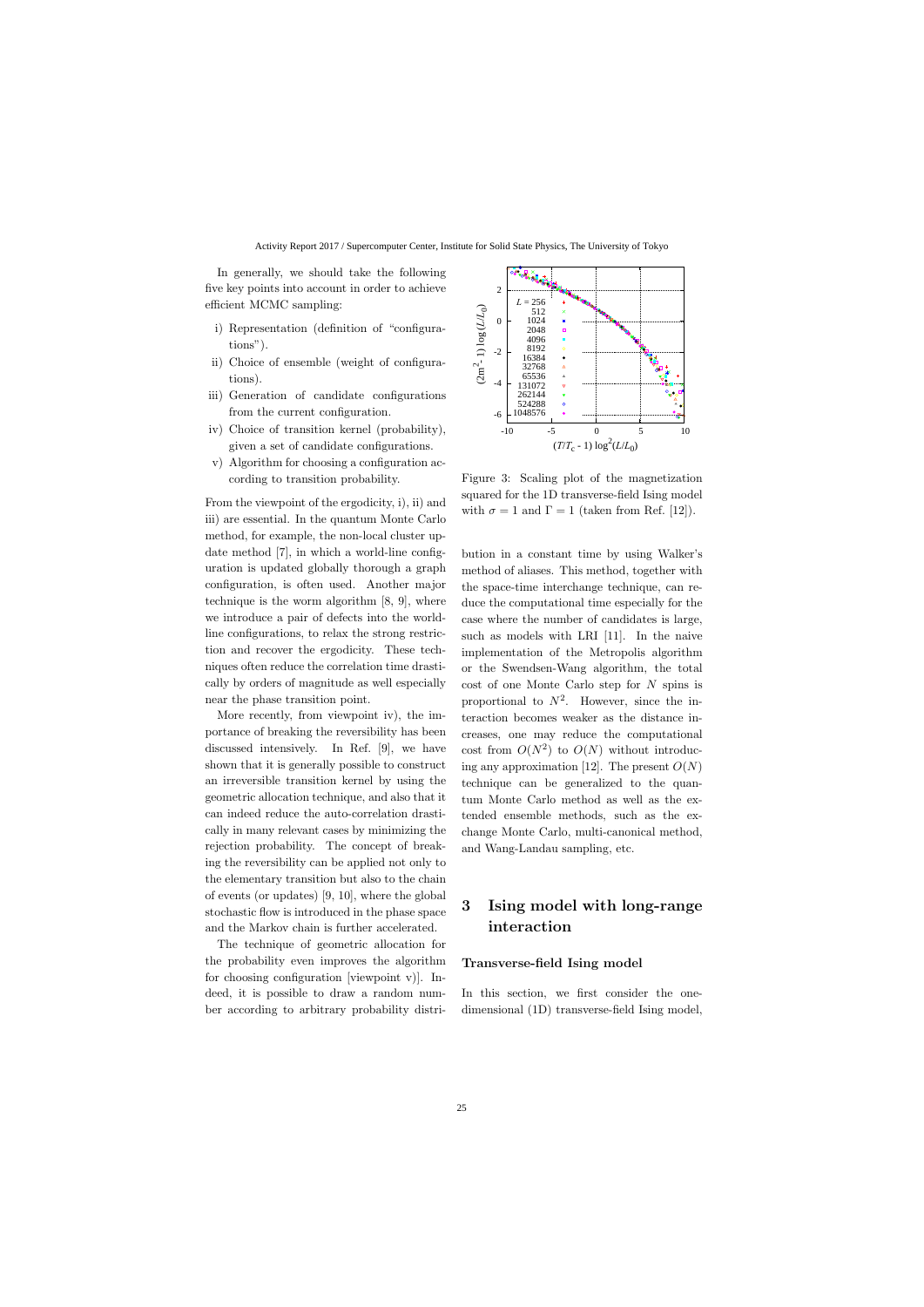In generally, we should take the following five key points into account in order to achieve efficient MCMC sampling:

- i) Representation (definition of "configurations").
- ii) Choice of ensemble (weight of configurations).
- iii) Generation of candidate configurations from the current configuration.
- iv) Choice of transition kernel (probability), given a set of candidate configurations.
- v) Algorithm for choosing a configuration according to transition probability.

From the viewpoint of the ergodicity, i), ii) and iii) are essential. In the quantum Monte Carlo method, for example, the non-local cluster update method [7], in which a world-line configuration is updated globally thorough a graph configuration, is often used. Another major technique is the worm algorithm [8, 9], where we introduce a pair of defects into the worldline configurations, to relax the strong restriction and recover the ergodicity. These techniques often reduce the correlation time drastically by orders of magnitude as well especially near the phase transition point.

More recently, from viewpoint iv), the importance of breaking the reversibility has been discussed intensively. In Ref. [9], we have shown that it is generally possible to construct an irreversible transition kernel by using the geometric allocation technique, and also that it can indeed reduce the auto-correlation drastically in many relevant cases by minimizing the rejection probability. The concept of breaking the reversibility can be applied not only to the elementary transition but also to the chain of events (or updates) [9, 10], where the global stochastic flow is introduced in the phase space and the Markov chain is further accelerated.

The technique of geometric allocation for the probability even improves the algorithm for choosing configuration [viewpoint v)]. Indeed, it is possible to draw a random number according to arbitrary probability distri-



Figure 3: Scaling plot of the magnetization squared for the 1D transverse-field Ising model with  $\sigma = 1$  and  $\Gamma = 1$  (taken from Ref. [12]).

bution in a constant time by using Walker's method of aliases. This method, together with the space-time interchange technique, can reduce the computational time especially for the case where the number of candidates is large, such as models with LRI [11]. In the naive implementation of the Metropolis algorithm or the Swendsen-Wang algorithm, the total cost of one Monte Carlo step for N spins is proportional to  $N^2$ . However, since the interaction becomes weaker as the distance increases, one may reduce the computational cost from  $O(N^2)$  to  $O(N)$  without introducing any approximation [12]. The present  $O(N)$ technique can be generalized to the quantum Monte Carlo method as well as the extended ensemble methods, such as the exchange Monte Carlo, multi-canonical method, and Wang-Landau sampling, etc.

## 3 Ising model with long-range interaction

#### Transverse-field Ising model

In this section, we first consider the onedimensional (1D) transverse-field Ising model,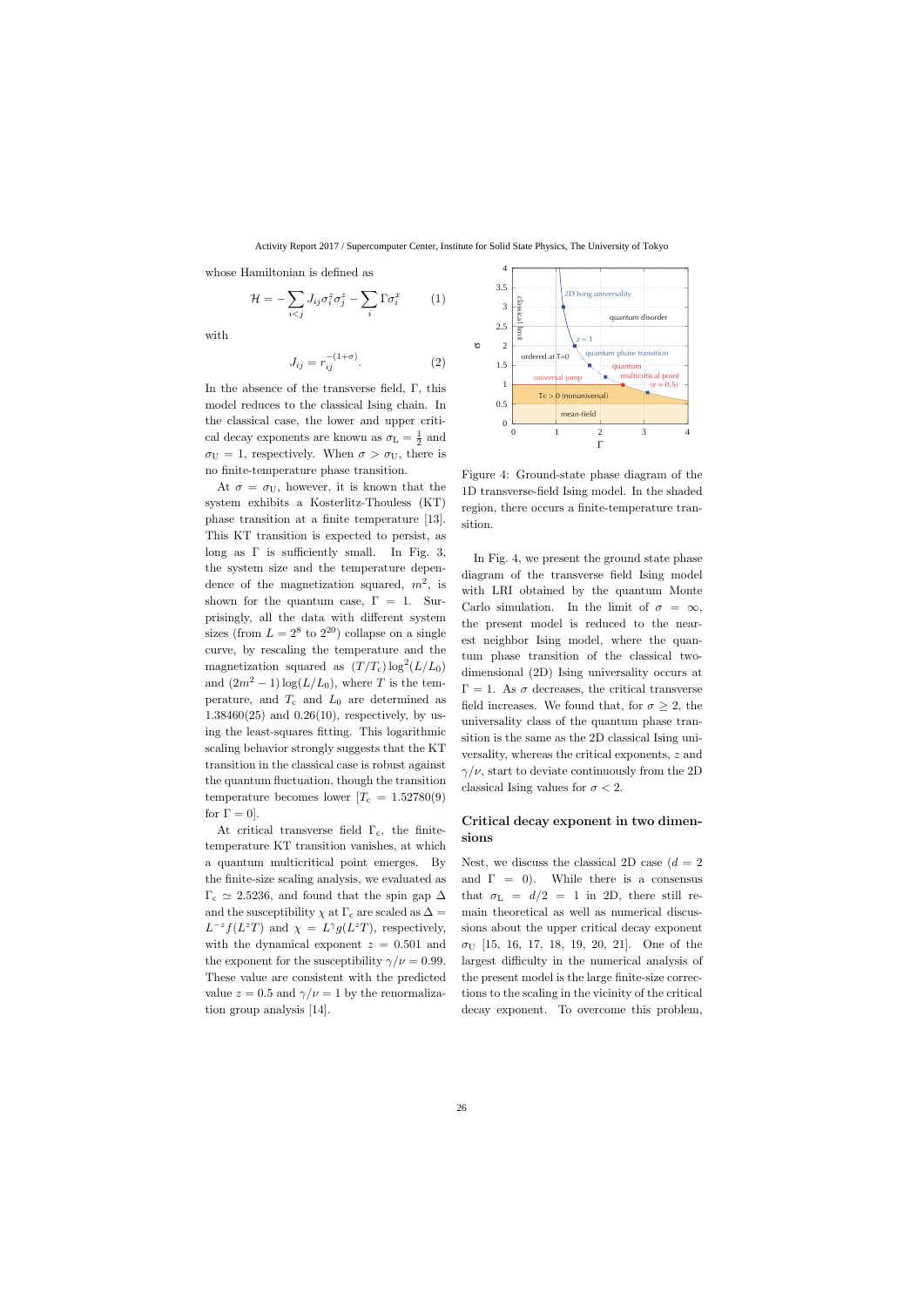whose Hamiltonian is defined as

$$
\mathcal{H} = -\sum_{i < j} J_{ij} \sigma_i^z \sigma_j^z - \sum_i \Gamma \sigma_i^x \tag{1}
$$

with

$$
J_{ij} = r_{ij}^{-(1+\sigma)}.\tag{2}
$$

In the absence of the transverse field, Γ, this model reduces to the classical Ising chain. In the classical case, the lower and upper critical decay exponents are known as  $\sigma_{\rm L} = \frac{1}{2}$  $rac{1}{2}$  and  $\sigma_U = 1$ , respectively. When  $\sigma > \sigma_U$ , there is no finite-temperature phase transition.

At  $\sigma = \sigma_U$ , however, it is known that the system exhibits a Kosterlitz-Thouless (KT) phase transition at a finite temperature [13]. This KT transition is expected to persist, as long as  $\Gamma$  is sufficiently small. In Fig. 3, the system size and the temperature dependence of the magnetization squared,  $m^2$ , is shown for the quantum case,  $\Gamma = 1$ . Surprisingly, all the data with different system sizes (from  $L = 2^8$  to  $2^{20}$ ) collapse on a single curve, by rescaling the temperature and the magnetization squared as  $(T/T_c) \log^2(L/L_0)$ and  $(2m^2 - 1) \log(L/L_0)$ , where T is the temperature, and  $T_c$  and  $L_0$  are determined as 1.38460(25) and 0.26(10), respectively, by using the least-squares fitting. This logarithmic scaling behavior strongly suggests that the KT transition in the classical case is robust against the quantum fluctuation, though the transition temperature becomes lower  $T_c = 1.52780(9)$ for  $\Gamma = 0$ .

At critical transverse field  $\Gamma_c$ , the finitetemperature KT transition vanishes, at which a quantum multicritical point emerges. By the finite-size scaling analysis, we evaluated as  $\Gamma_c \simeq 2.5236$ , and found that the spin gap  $\Delta$ and the susceptibility  $\chi$  at  $\Gamma_c$  are scaled as  $\Delta =$  $L^{-z}f(L^zT)$  and  $\chi = L^{\gamma}g(L^zT)$ , respectively, with the dynamical exponent  $z = 0.501$  and the exponent for the susceptibility  $\gamma/\nu = 0.99$ . These value are consistent with the predicted value  $z = 0.5$  and  $\gamma/\nu = 1$  by the renormalization group analysis [14].



Figure 4: Ground-state phase diagram of the 1D transverse-field Ising model. In the shaded region, there occurs a finite-temperature transition.

In Fig. 4, we present the ground state phase diagram of the transverse field Ising model with LRI obtained by the quantum Monte Carlo simulation. In the limit of  $\sigma = \infty$ , the present model is reduced to the nearest neighbor Ising model, where the quantum phase transition of the classical twodimensional (2D) Ising universality occurs at  $\Gamma = 1$ . As  $\sigma$  decreases, the critical transverse field increases. We found that, for  $\sigma \geq 2$ , the universality class of the quantum phase transition is the same as the 2D classical Ising universality, whereas the critical exponents, z and  $\gamma/\nu$ , start to deviate continuously from the 2D classical Ising values for  $\sigma < 2$ .

### Critical decay exponent in two dimensions

Nest, we discuss the classical 2D case  $(d = 2)$ and  $\Gamma = 0$ ). While there is a consensus that  $\sigma_{\rm L}$  =  $d/2$  = 1 in 2D, there still remain theoretical as well as numerical discussions about the upper critical decay exponent  $\sigma_{\text{U}}$  [15, 16, 17, 18, 19, 20, 21]. One of the largest difficulty in the numerical analysis of the present model is the large finite-size corrections to the scaling in the vicinity of the critical decay exponent. To overcome this problem,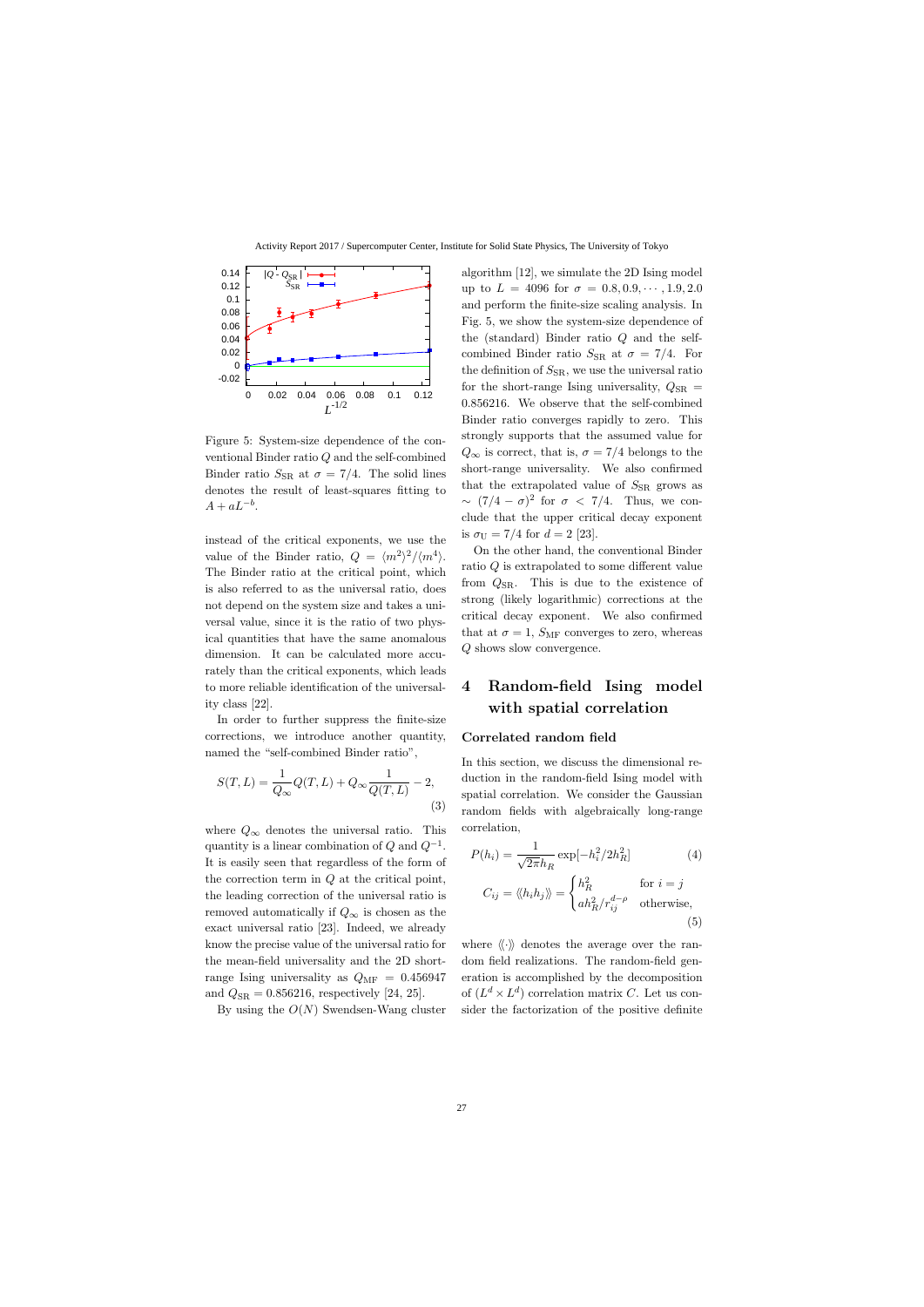

Figure 5: System-size dependence of the conventional Binder ratio Q and the self-combined Binder ratio  $S_{\rm SR}$  at  $\sigma = 7/4$ . The solid lines denotes the result of least-squares fitting to  $A + aL^{-b}$ .

instead of the critical exponents, we use the value of the Binder ratio,  $Q = \langle m^2 \rangle^2 / \langle m^4 \rangle$ . The Binder ratio at the critical point, which is also referred to as the universal ratio, does not depend on the system size and takes a universal value, since it is the ratio of two physical quantities that have the same anomalous dimension. It can be calculated more accurately than the critical exponents, which leads to more reliable identification of the universality class [22].

In order to further suppress the finite-size corrections, we introduce another quantity, named the "self-combined Binder ratio",

$$
S(T,L) = \frac{1}{Q_{\infty}}Q(T,L) + Q_{\infty}\frac{1}{Q(T,L)} - 2,
$$
\n(3)

where  $Q_{\infty}$  denotes the universal ratio. This quantity is a linear combination of  $Q$  and  $Q^{-1}$ . It is easily seen that regardless of the form of the correction term in Q at the critical point, the leading correction of the universal ratio is removed automatically if  $Q_{\infty}$  is chosen as the exact universal ratio [23]. Indeed, we already know the precise value of the universal ratio for the mean-field universality and the 2D shortrange Ising universality as  $Q_{\text{MF}} = 0.456947$ and  $Q_{\rm SR} = 0.856216$ , respectively [24, 25].

By using the  $O(N)$  Swendsen-Wang cluster

algorithm [12], we simulate the 2D Ising model up to  $L = 4096$  for  $\sigma = 0.8, 0.9, \cdots, 1.9, 2.0$ and perform the finite-size scaling analysis. In Fig. 5, we show the system-size dependence of the (standard) Binder ratio Q and the selfcombined Binder ratio  $S_{\rm SR}$  at  $\sigma = 7/4$ . For the definition of  $S_{\rm SR}$ , we use the universal ratio for the short-range Ising universality,  $Q_{\rm SR}$  = 0.856216. We observe that the self-combined Binder ratio converges rapidly to zero. This strongly supports that the assumed value for  $Q_{\infty}$  is correct, that is,  $\sigma = 7/4$  belongs to the short-range universality. We also confirmed that the extrapolated value of  $S_{\rm SR}$  grows as  $\sim (7/4 - \sigma)^2$  for  $\sigma < 7/4$ . Thus, we conclude that the upper critical decay exponent is  $\sigma_{\text{U}} = 7/4$  for  $d = 2$  [23].

On the other hand, the conventional Binder ratio Q is extrapolated to some different value from  $Q_{\rm SR}$ . This is due to the existence of strong (likely logarithmic) corrections at the critical decay exponent. We also confirmed that at  $\sigma = 1$ ,  $S_{\text{MF}}$  converges to zero, whereas Q shows slow convergence.

## 4 Random-field Ising model with spatial correlation

#### Correlated random field

In this section, we discuss the dimensional reduction in the random-field Ising model with spatial correlation. We consider the Gaussian random fields with algebraically long-range correlation,

$$
P(h_i) = \frac{1}{\sqrt{2\pi}h_R} \exp[-h_i^2/2h_R^2]
$$
(4)  

$$
C_{ij} = \langle\langle h_i h_j \rangle\rangle = \begin{cases} h_R^2 & \text{for } i = j\\ a h_R^2 / r_{ij}^{d-\rho} & \text{otherwise,} \end{cases}
$$
(5)

where  $\langle \langle \cdot \rangle \rangle$  denotes the average over the random field realizations. The random-field generation is accomplished by the decomposition of  $(L^d \times L^d)$  correlation matrix C. Let us consider the factorization of the positive definite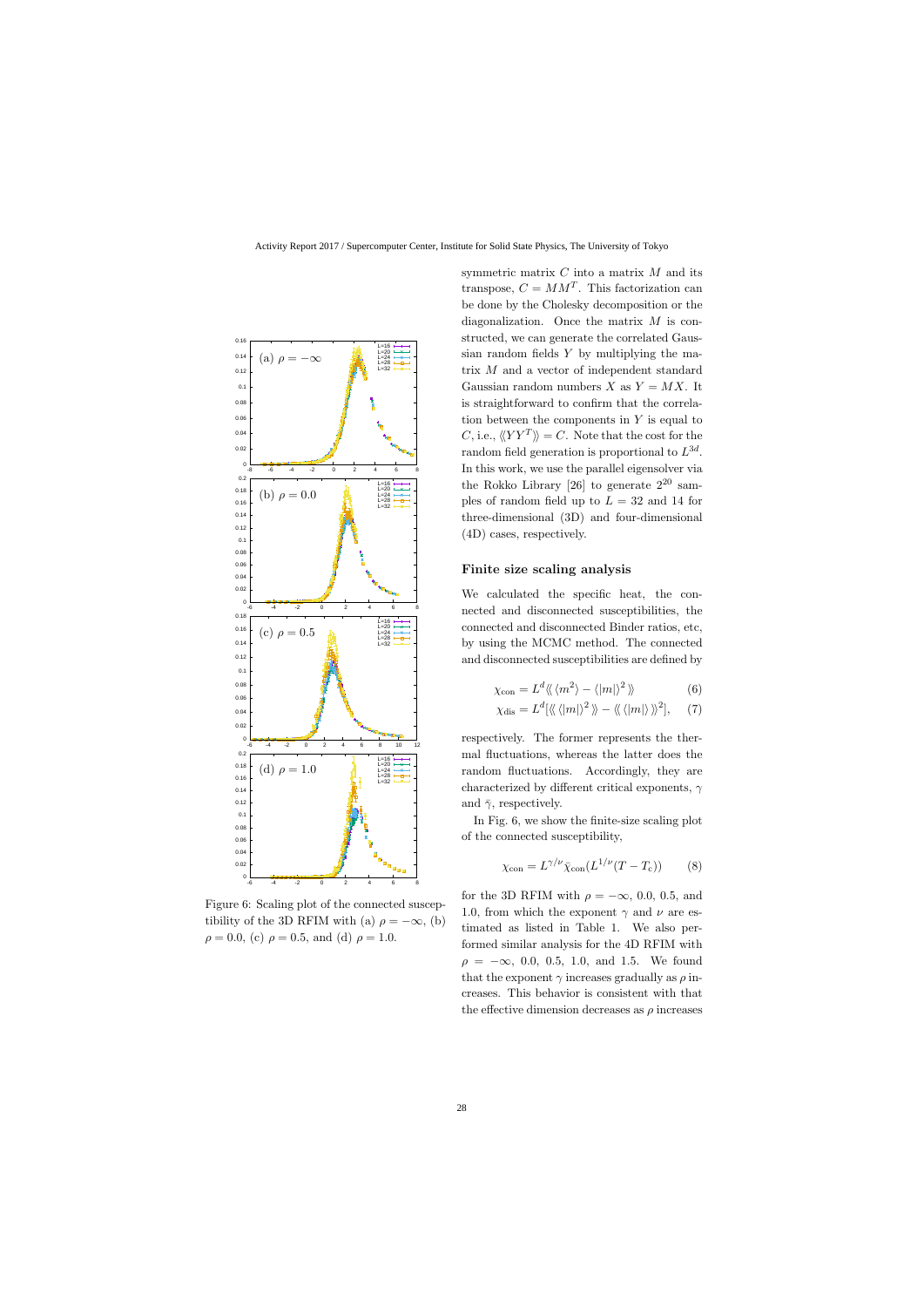

Figure 6: Scaling plot of the connected susceptibility of the 3D RFIM with (a)  $\rho = -\infty$ , (b)  $\rho = 0.0$ , (c)  $\rho = 0.5$ , and (d)  $\rho = 1.0$ .

symmetric matrix  $C$  into a matrix  $M$  and its transpose,  $C = MM^T$ . This factorization can be done by the Cholesky decomposition or the diagonalization. Once the matrix M is constructed, we can generate the correlated Gaussian random fields Y by multiplying the matrix M and a vector of independent standard Gaussian random numbers X as  $Y = MX$ . It is straightforward to confirm that the correlation between the components in  $Y$  is equal to C, i.e.,  $\langle \langle Y Y^T \rangle \rangle = C$ . Note that the cost for the random field generation is proportional to  $L^{3d}$ . In this work, we use the parallel eigensolver via the Rokko Library [26] to generate  $2^{20}$  samples of random field up to  $L = 32$  and 14 for three-dimensional (3D) and four-dimensional (4D) cases, respectively.

#### Finite size scaling analysis

We calculated the specific heat, the connected and disconnected susceptibilities, the connected and disconnected Binder ratios, etc, by using the MCMC method. The connected and disconnected susceptibilities are defined by

$$
\chi_{\text{con}} = L^d \langle \langle m^2 \rangle - \langle |m| \rangle^2 \rangle \tag{6}
$$

$$
\chi_{\text{dis}} = L^{d}[\langle\langle |m| \rangle^{2} \rangle\!\rangle - \langle\langle |m| \rangle\,\rangle\!\rangle^{2}], \quad (7)
$$

respectively. The former represents the thermal fluctuations, whereas the latter does the random fluctuations. Accordingly, they are characterized by different critical exponents,  $\gamma$ and  $\bar{\gamma}$ , respectively.

In Fig. 6, we show the finite-size scaling plot of the connected susceptibility,

$$
\chi_{\text{con}} = L^{\gamma/\nu} \bar{\chi}_{\text{con}} (L^{1/\nu} (T - T_{\text{c}}))
$$
 (8)

for the 3D RFIM with  $\rho = -\infty$ , 0.0, 0.5, and 1.0, from which the exponent  $\gamma$  and  $\nu$  are estimated as listed in Table 1. We also performed similar analysis for the 4D RFIM with  $\rho = -\infty$ , 0.0, 0.5, 1.0, and 1.5. We found that the exponent  $\gamma$  increases gradually as  $\rho$  increases. This behavior is consistent with that the effective dimension decreases as  $\rho$  increases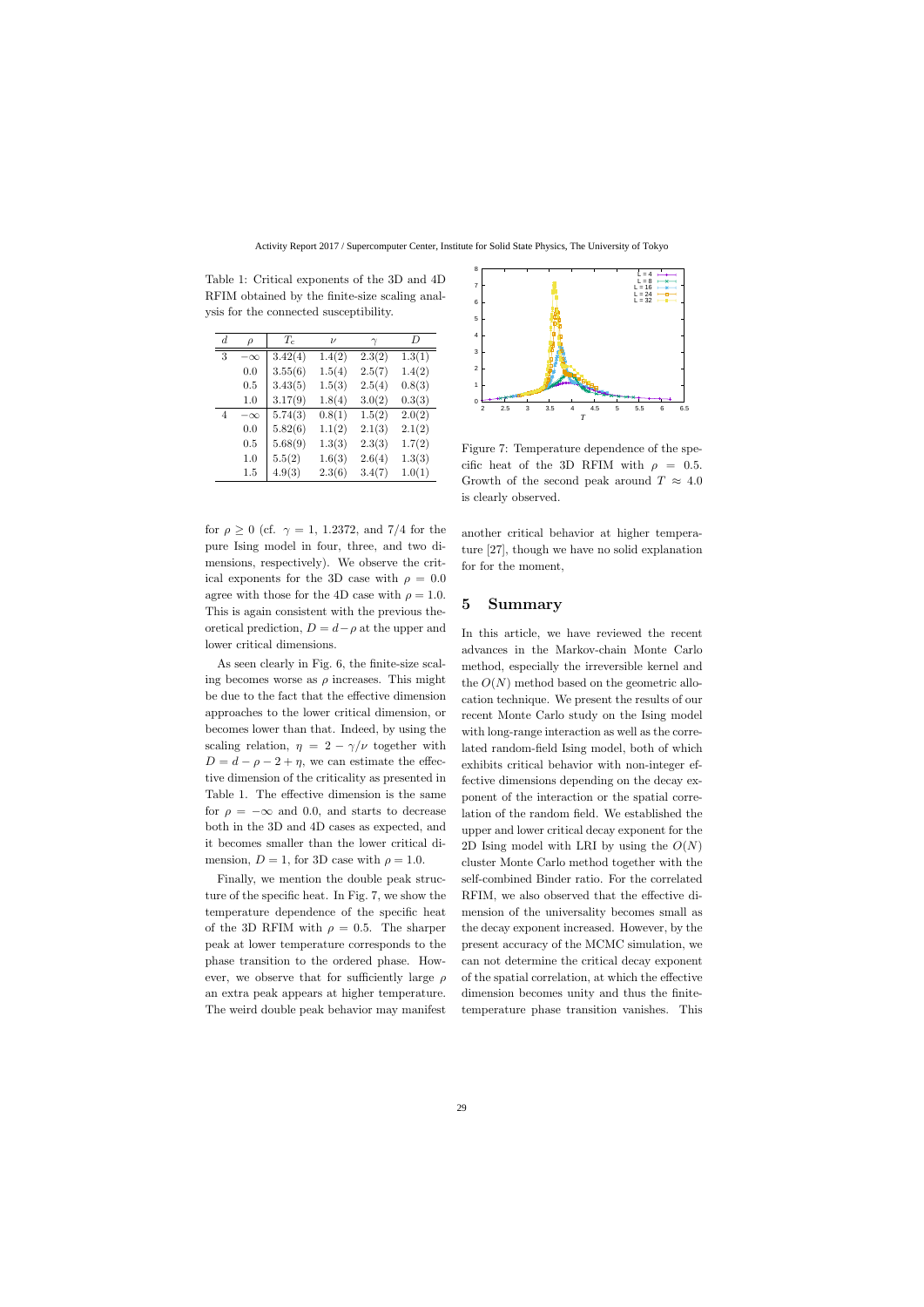| $d_{\cdot}$ | $\rho$    | $T_c$   | $\nu$  |          | D      |
|-------------|-----------|---------|--------|----------|--------|
|             |           |         |        | $\gamma$ |        |
| 3           | $-\infty$ | 3.42(4) | 1.4(2) | 2.3(2)   | 1.3(1) |
|             | 0.0       | 3.55(6) | 1.5(4) | 2.5(7)   | 1.4(2) |
|             | 0.5       | 3.43(5) | 1.5(3) | 2.5(4)   | 0.8(3) |
|             | 1.0       | 3.17(9) | 1.8(4) | 3.0(2)   | 0.3(3) |
| 4           | $-\infty$ | 5.74(3) | 0.8(1) | 1.5(2)   | 2.0(2) |
|             | 0.0       | 5.82(6) | 1.1(2) | 2.1(3)   | 2.1(2) |
|             | 0.5       | 5.68(9) | 1.3(3) | 2.3(3)   | 1.7(2) |
|             | 1.0       | 5.5(2)  | 1.6(3) | 2.6(4)   | 1.3(3) |
|             | $1.5\,$   | 4.9(3)  | 2.3(6) | 3.4(7)   | 1.0(1) |

Table 1: Critical exponents of the 3D and 4D RFIM obtained by the finite-size scaling analysis for the connected susceptibility.

for  $\rho \geq 0$  (cf.  $\gamma = 1$ , 1.2372, and 7/4 for the pure Ising model in four, three, and two dimensions, respectively). We observe the critical exponents for the 3D case with  $\rho = 0.0$ agree with those for the 4D case with  $\rho = 1.0$ . This is again consistent with the previous theoretical prediction,  $D = d - \rho$  at the upper and lower critical dimensions.

As seen clearly in Fig. 6, the finite-size scaling becomes worse as  $\rho$  increases. This might be due to the fact that the effective dimension approaches to the lower critical dimension, or becomes lower than that. Indeed, by using the scaling relation,  $\eta = 2 - \gamma/\nu$  together with  $D = d - \rho - 2 + \eta$ , we can estimate the effective dimension of the criticality as presented in Table 1. The effective dimension is the same for  $\rho = -\infty$  and 0.0, and starts to decrease both in the 3D and 4D cases as expected, and it becomes smaller than the lower critical dimension,  $D = 1$ , for 3D case with  $\rho = 1.0$ .  $\frac{1.0}{4-80}$  5.7(3)  $-0.8(1)$  3.1(9)  $\frac{1.0}{2}$  3.0(2)<br>  $0.0$  5.8(6)  $1.1(2)$  2.1(3)  $2.1(2)$ <br>  $0.0$  5.82(6)  $1.1(2)$  2.1(3)  $2.1(2)$ <br>  $0.5$  5.62(9)  $1.3(3)$  2.6(3)  $1.6(4)$  2.6(4)  $1.3(3)$ <br>  $1.5$  4.9(3)  $2.3(6)$  3.4(7

Finally, we mention the double peak structure of the specific heat. In Fig. 7, we show the temperature dependence of the specific heat of the 3D RFIM with  $\rho = 0.5$ . The sharper peak at lower temperature corresponds to the phase transition to the ordered phase. However, we observe that for sufficiently large  $\rho$ an extra peak appears at higher temperature.



Figure 7: Temperature dependence of the specific heat of the 3D RFIM with  $\rho = 0.5$ . Growth of the second peak around  $T \approx 4.0$ is clearly observed.

another critical behavior at higher temperature [27], though we have no solid explanation for for the moment,

### 5 Summary

In this article, we have reviewed the recent advances in the Markov-chain Monte Carlo method, especially the irreversible kernel and the  $O(N)$  method based on the geometric allocation technique. We present the results of our recent Monte Carlo study on the Ising model with long-range interaction as well as the correlated random-field Ising model, both of which exhibits critical behavior with non-integer effective dimensions depending on the decay exponent of the interaction or the spatial correlation of the random field. We established the upper and lower critical decay exponent for the 2D Ising model with LRI by using the  $O(N)$ cluster Monte Carlo method together with the self-combined Binder ratio. For the correlated RFIM, we also observed that the effective dimension of the universality becomes small as the decay exponent increased. However, by the present accuracy of the MCMC simulation, we can not determine the critical decay exponent of the spatial correlation, at which the effective dimension becomes unity and thus the finitetemperature phase transition vanishes. This